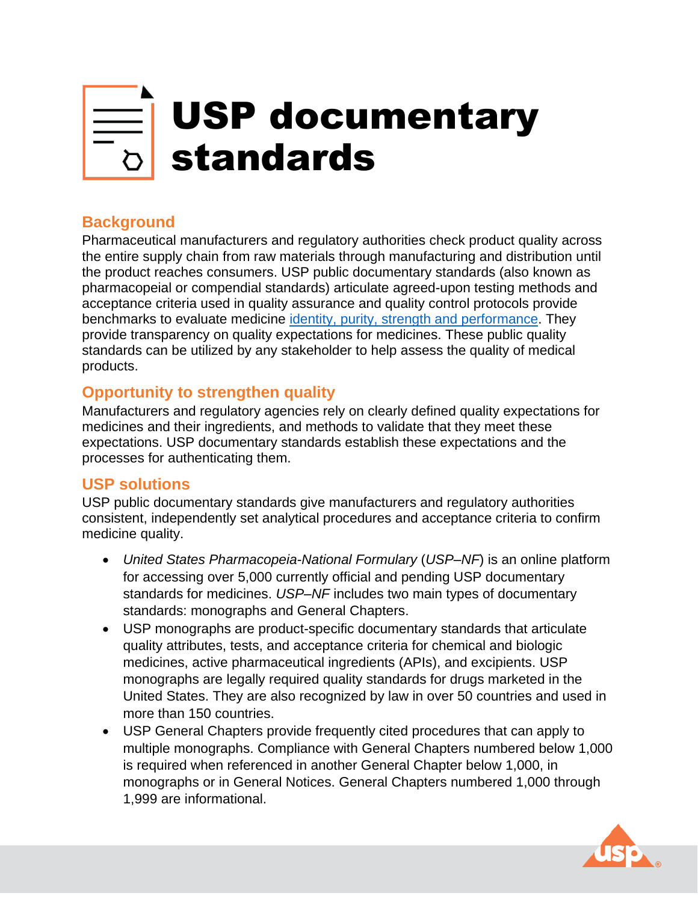# USP documentary standards

## **Background**

Pharmaceutical manufacturers and regulatory authorities check product quality across the entire supply chain from raw materials through manufacturing and distribution until the product reaches consumers. USP public documentary standards (also known as pharmacopeial or compendial standards) articulate agreed-upon testing methods and acceptance criteria used in quality assurance and quality control protocols provide benchmarks to evaluate medicine [identity, purity, strength and performance.](https://www.usp.org/chemical-medicines/the-reference-standards-and-monograph-process) They provide transparency on quality expectations for medicines. These public quality standards can be utilized by any stakeholder to help assess the quality of medical products.

### **Opportunity to strengthen quality**

Manufacturers and regulatory agencies rely on clearly defined quality expectations for medicines and their ingredients, and methods to validate that they meet these expectations. USP documentary standards establish these expectations and the processes for authenticating them.

#### **USP solutions**

USP public documentary standards give manufacturers and regulatory authorities consistent, independently set analytical procedures and acceptance criteria to confirm medicine quality.

- *United States Pharmacopeia-National Formulary* (*USP–NF*) is an online platform for accessing over 5,000 currently official and pending USP documentary standards for medicines. *USP–NF* includes two main types of documentary standards: monographs and General Chapters.
- USP monographs are product-specific documentary standards that articulate quality attributes, tests, and acceptance criteria for chemical and biologic medicines, active pharmaceutical ingredients (APIs), and excipients. USP monographs are legally required quality standards for drugs marketed in the United States. They are also recognized by law in over 50 countries and used in more than 150 countries.
- USP General Chapters provide frequently cited procedures that can apply to multiple monographs. Compliance with General Chapters numbered below 1,000 is required when referenced in another General Chapter below 1,000, in monographs or in General Notices. General Chapters numbered 1,000 through 1,999 are informational.